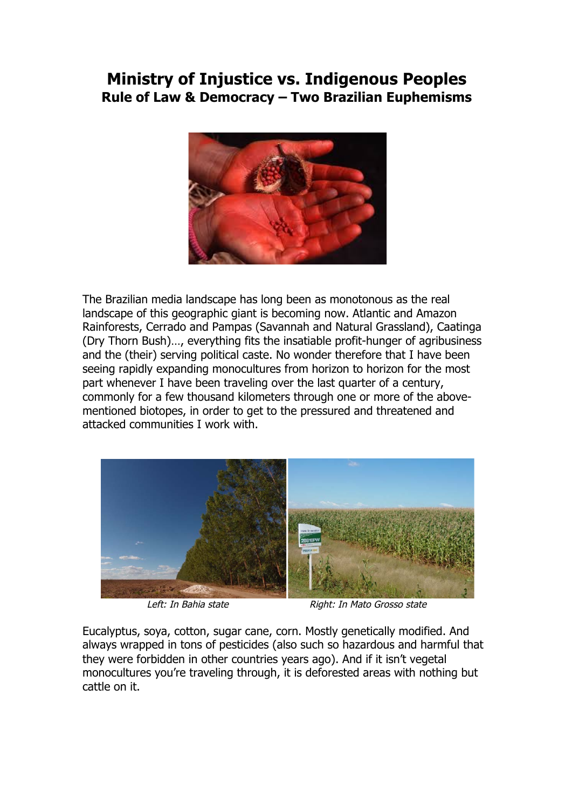## **Ministry of Injustice vs. Indigenous Peoples Rule of Law & Democracy – Two Brazilian Euphemisms**



The Brazilian media landscape has long been as monotonous as the real landscape of this geographic giant is becoming now. Atlantic and Amazon Rainforests, Cerrado and Pampas (Savannah and Natural Grassland), Caatinga (Dry Thorn Bush)…, everything fits the insatiable profit-hunger of agribusiness and the (their) serving political caste. No wonder therefore that I have been seeing rapidly expanding monocultures from horizon to horizon for the most part whenever I have been traveling over the last quarter of a century, commonly for a few thousand kilometers through one or more of the abovementioned biotopes, in order to get to the pressured and threatened and attacked communities I work with.



Left: In Bahia state Right: In Mato Grosso state

Eucalyptus, soya, cotton, sugar cane, corn. Mostly genetically modified. And always wrapped in tons of pesticides (also such so hazardous and harmful that they were forbidden in other countries years ago). And if it isn't vegetal monocultures you're traveling through, it is deforested areas with nothing but cattle on it.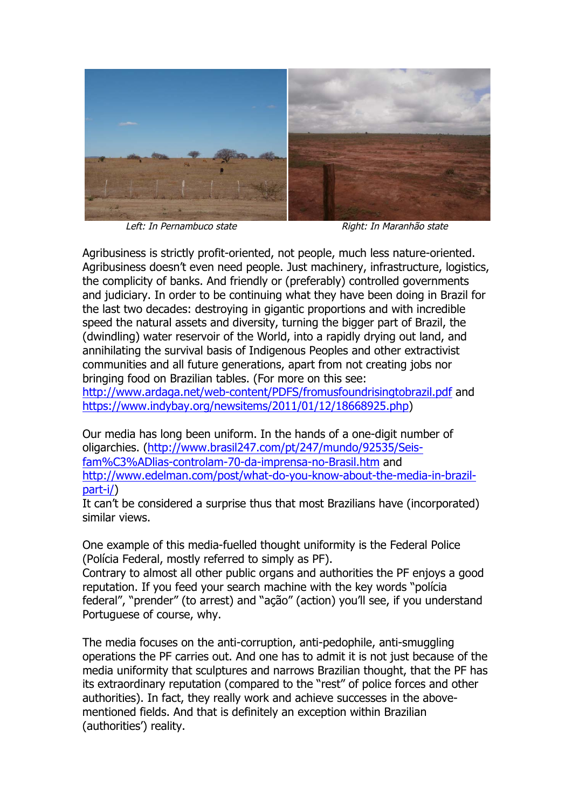

Left: In Pernambuco state Right: In Maranhão state

Agribusiness is strictly profit-oriented, not people, much less nature-oriented. Agribusiness doesn't even need people. Just machinery, infrastructure, logistics, the complicity of banks. And friendly or (preferably) controlled governments and judiciary. In order to be continuing what they have been doing in Brazil for the last two decades: destroying in gigantic proportions and with incredible speed the natural assets and diversity, turning the bigger part of Brazil, the (dwindling) water reservoir of the World, into a rapidly drying out land, and annihilating the survival basis of Indigenous Peoples and other extractivist communities and all future generations, apart from not creating jobs nor bringing food on Brazilian tables. (For more on this see: http://www.ardaga.net/web-content/PDFS/fromusfoundrisingtobrazil.pdf and

https://www.indybay.org/newsitems/2011/01/12/18668925.php)

Our media has long been uniform. In the hands of a one-digit number of oligarchies. (http://www.brasil247.com/pt/247/mundo/92535/Seisfam%C3%ADlias-controlam-70-da-imprensa-no-Brasil.htm and http://www.edelman.com/post/what-do-you-know-about-the-media-in-brazilpart-i/)

It can't be considered a surprise thus that most Brazilians have (incorporated) similar views.

One example of this media-fuelled thought uniformity is the Federal Police (Polícia Federal, mostly referred to simply as PF).

Contrary to almost all other public organs and authorities the PF enjoys a good reputation. If you feed your search machine with the key words "polícia federal", "prender" (to arrest) and "ação" (action) you'll see, if you understand Portuguese of course, why.

The media focuses on the anti-corruption, anti-pedophile, anti-smuggling operations the PF carries out. And one has to admit it is not just because of the media uniformity that sculptures and narrows Brazilian thought, that the PF has its extraordinary reputation (compared to the "rest" of police forces and other authorities). In fact, they really work and achieve successes in the abovementioned fields. And that is definitely an exception within Brazilian (authorities') reality.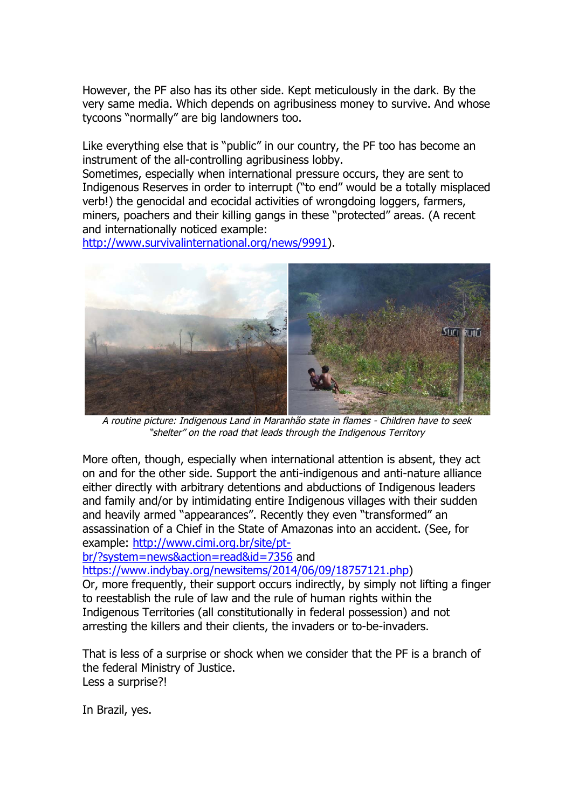However, the PF also has its other side. Kept meticulously in the dark. By the very same media. Which depends on agribusiness money to survive. And whose tycoons "normally" are big landowners too.

Like everything else that is "public" in our country, the PF too has become an instrument of the all-controlling agribusiness lobby.

Sometimes, especially when international pressure occurs, they are sent to Indigenous Reserves in order to interrupt ("to end" would be a totally misplaced verb!) the genocidal and ecocidal activities of wrongdoing loggers, farmers, miners, poachers and their killing gangs in these "protected" areas. (A recent and internationally noticed example:

http://www.survivalinternational.org/news/9991).



A routine picture: Indigenous Land in Maranhão state in flames - Children have to seek "shelter" on the road that leads through the Indigenous Territory

More often, though, especially when international attention is absent, they act on and for the other side. Support the anti-indigenous and anti-nature alliance either directly with arbitrary detentions and abductions of Indigenous leaders and family and/or by intimidating entire Indigenous villages with their sudden and heavily armed "appearances". Recently they even "transformed" an assassination of a Chief in the State of Amazonas into an accident. (See, for example: http://www.cimi.org.br/site/pt-

br/?system=news&action=read&id=7356 and

https://www.indybay.org/newsitems/2014/06/09/18757121.php)

Or, more frequently, their support occurs indirectly, by simply not lifting a finger to reestablish the rule of law and the rule of human rights within the Indigenous Territories (all constitutionally in federal possession) and not arresting the killers and their clients, the invaders or to-be-invaders.

That is less of a surprise or shock when we consider that the PF is a branch of the federal Ministry of Justice. Less a surprise?!

In Brazil, yes.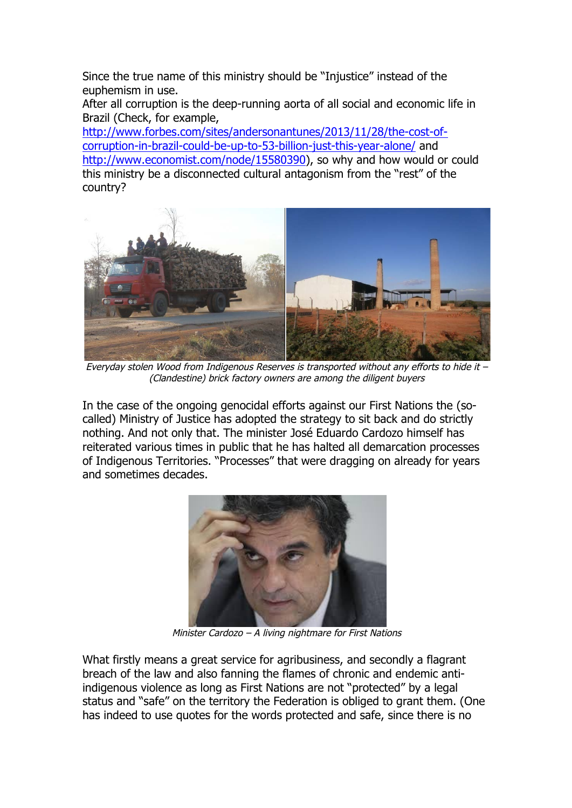Since the true name of this ministry should be "Injustice" instead of the euphemism in use.

After all corruption is the deep-running aorta of all social and economic life in Brazil (Check, for example,

http://www.forbes.com/sites/andersonantunes/2013/11/28/the-cost-ofcorruption-in-brazil-could-be-up-to-53-billion-just-this-year-alone/ and http://www.economist.com/node/15580390), so why and how would or could this ministry be a disconnected cultural antagonism from the "rest" of the country?



Everyday stolen Wood from Indigenous Reserves is transported without any efforts to hide it – (Clandestine) brick factory owners are among the diligent buyers

In the case of the ongoing genocidal efforts against our First Nations the (socalled) Ministry of Justice has adopted the strategy to sit back and do strictly nothing. And not only that. The minister José Eduardo Cardozo himself has reiterated various times in public that he has halted all demarcation processes of Indigenous Territories. "Processes" that were dragging on already for years and sometimes decades.



Minister Cardozo – A living nightmare for First Nations

What firstly means a great service for agribusiness, and secondly a flagrant breach of the law and also fanning the flames of chronic and endemic antiindigenous violence as long as First Nations are not "protected" by a legal status and "safe" on the territory the Federation is obliged to grant them. (One has indeed to use quotes for the words protected and safe, since there is no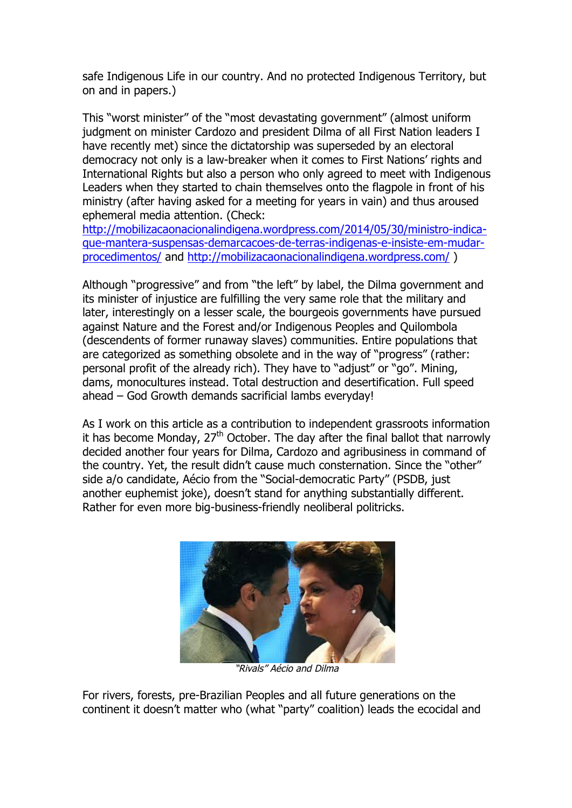safe Indigenous Life in our country. And no protected Indigenous Territory, but on and in papers.)

This "worst minister" of the "most devastating government" (almost uniform judgment on minister Cardozo and president Dilma of all First Nation leaders I have recently met) since the dictatorship was superseded by an electoral democracy not only is a law-breaker when it comes to First Nations' rights and International Rights but also a person who only agreed to meet with Indigenous Leaders when they started to chain themselves onto the flagpole in front of his ministry (after having asked for a meeting for years in vain) and thus aroused ephemeral media attention. (Check:

http://mobilizacaonacionalindigena.wordpress.com/2014/05/30/ministro-indicaque-mantera-suspensas-demarcacoes-de-terras-indigenas-e-insiste-em-mudarprocedimentos/ and http://mobilizacaonacionalindigena.wordpress.com/ )

Although "progressive" and from "the left" by label, the Dilma government and its minister of injustice are fulfilling the very same role that the military and later, interestingly on a lesser scale, the bourgeois governments have pursued against Nature and the Forest and/or Indigenous Peoples and Quilombola (descendents of former runaway slaves) communities. Entire populations that are categorized as something obsolete and in the way of "progress" (rather: personal profit of the already rich). They have to "adjust" or "go". Mining, dams, monocultures instead. Total destruction and desertification. Full speed ahead – God Growth demands sacrificial lambs everyday!

As I work on this article as a contribution to independent grassroots information it has become Monday,  $27<sup>th</sup>$  October. The day after the final ballot that narrowly decided another four years for Dilma, Cardozo and agribusiness in command of the country. Yet, the result didn't cause much consternation. Since the "other" side a/o candidate, Aécio from the "Social-democratic Party" (PSDB, just another euphemist joke), doesn't stand for anything substantially different. Rather for even more big-business-friendly neoliberal politricks.



"Rivals" Aécio and Dilma

For rivers, forests, pre-Brazilian Peoples and all future generations on the continent it doesn't matter who (what "party" coalition) leads the ecocidal and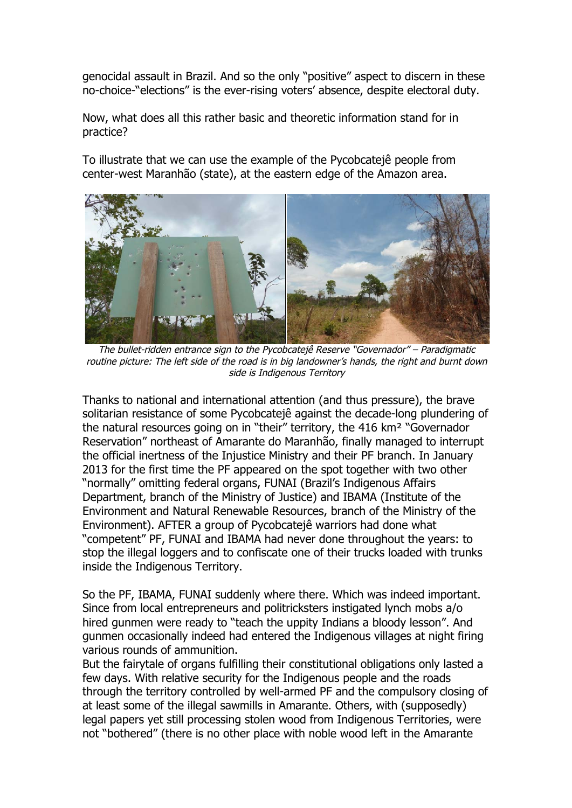genocidal assault in Brazil. And so the only "positive" aspect to discern in these no-choice-"elections" is the ever-rising voters' absence, despite electoral duty.

Now, what does all this rather basic and theoretic information stand for in practice?

To illustrate that we can use the example of the Pycobcatejê people from center-west Maranhão (state), at the eastern edge of the Amazon area.



The bullet-ridden entrance sign to the Pycobcatejê Reserve "Governador" – Paradigmatic routine picture: The left side of the road is in big landowner's hands, the right and burnt down side is Indigenous Territory

Thanks to national and international attention (and thus pressure), the brave solitarian resistance of some Pycobcatejê against the decade-long plundering of the natural resources going on in "their" territory, the 416 km² "Governador Reservation" northeast of Amarante do Maranhão, finally managed to interrupt the official inertness of the Injustice Ministry and their PF branch. In January 2013 for the first time the PF appeared on the spot together with two other "normally" omitting federal organs, FUNAI (Brazil's Indigenous Affairs Department, branch of the Ministry of Justice) and IBAMA (Institute of the Environment and Natural Renewable Resources, branch of the Ministry of the Environment). AFTER a group of Pycobcatejê warriors had done what "competent" PF, FUNAI and IBAMA had never done throughout the years: to stop the illegal loggers and to confiscate one of their trucks loaded with trunks inside the Indigenous Territory.

So the PF, IBAMA, FUNAI suddenly where there. Which was indeed important. Since from local entrepreneurs and politricksters instigated lynch mobs a/o hired gunmen were ready to "teach the uppity Indians a bloody lesson". And gunmen occasionally indeed had entered the Indigenous villages at night firing various rounds of ammunition.

But the fairytale of organs fulfilling their constitutional obligations only lasted a few days. With relative security for the Indigenous people and the roads through the territory controlled by well-armed PF and the compulsory closing of at least some of the illegal sawmills in Amarante. Others, with (supposedly) legal papers yet still processing stolen wood from Indigenous Territories, were not "bothered" (there is no other place with noble wood left in the Amarante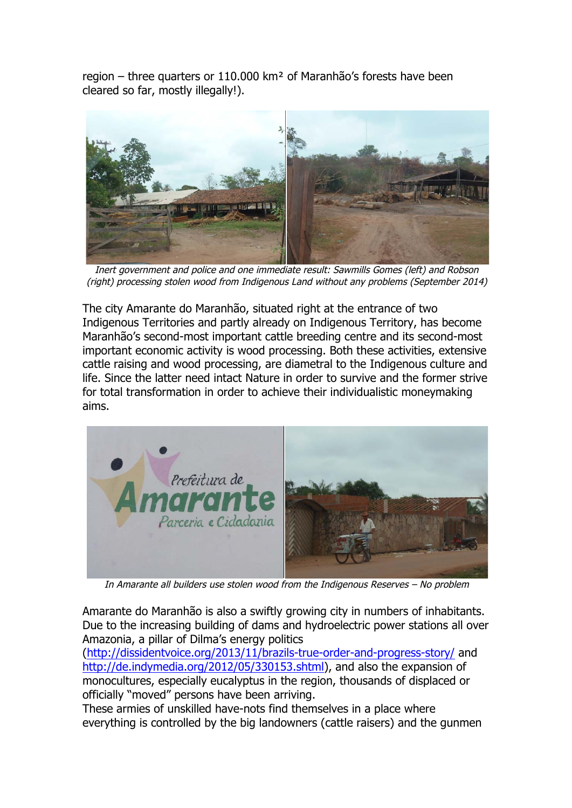region – three quarters or 110.000 km² of Maranhão's forests have been cleared so far, mostly illegally!).



Inert government and police and one immediate result: Sawmills Gomes (left) and Robson (right) processing stolen wood from Indigenous Land without any problems (September 2014)

The city Amarante do Maranhão, situated right at the entrance of two Indigenous Territories and partly already on Indigenous Territory, has become Maranhão's second-most important cattle breeding centre and its second-most important economic activity is wood processing. Both these activities, extensive cattle raising and wood processing, are diametral to the Indigenous culture and life. Since the latter need intact Nature in order to survive and the former strive for total transformation in order to achieve their individualistic moneymaking aims.



In Amarante all builders use stolen wood from the Indigenous Reserves – No problem

Amarante do Maranhão is also a swiftly growing city in numbers of inhabitants. Due to the increasing building of dams and hydroelectric power stations all over Amazonia, a pillar of Dilma's energy politics

(http://dissidentvoice.org/2013/11/brazils-true-order-and-progress-story/ and http://de.indymedia.org/2012/05/330153.shtml), and also the expansion of monocultures, especially eucalyptus in the region, thousands of displaced or officially "moved" persons have been arriving.

These armies of unskilled have-nots find themselves in a place where everything is controlled by the big landowners (cattle raisers) and the gunmen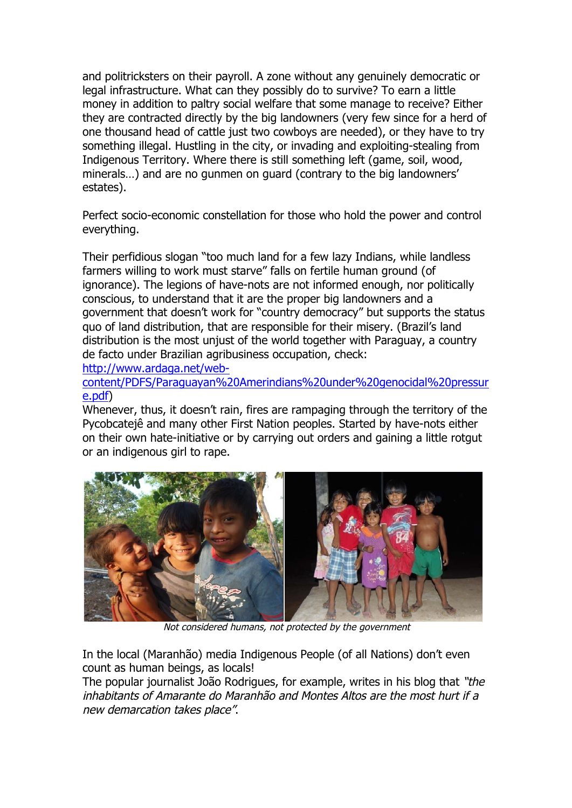and politricksters on their payroll. A zone without any genuinely democratic or legal infrastructure. What can they possibly do to survive? To earn a little money in addition to paltry social welfare that some manage to receive? Either they are contracted directly by the big landowners (very few since for a herd of one thousand head of cattle just two cowboys are needed), or they have to try something illegal. Hustling in the city, or invading and exploiting-stealing from Indigenous Territory. Where there is still something left (game, soil, wood, minerals…) and are no gunmen on guard (contrary to the big landowners' estates).

Perfect socio-economic constellation for those who hold the power and control everything.

Their perfidious slogan "too much land for a few lazy Indians, while landless farmers willing to work must starve" falls on fertile human ground (of ignorance). The legions of have-nots are not informed enough, nor politically conscious, to understand that it are the proper big landowners and a government that doesn't work for "country democracy" but supports the status quo of land distribution, that are responsible for their misery. (Brazil's land distribution is the most unjust of the world together with Paraguay, a country de facto under Brazilian agribusiness occupation, check:

http://www.ardaga.net/web-

content/PDFS/Paraguayan%20Amerindians%20under%20genocidal%20pressur e.pdf)

Whenever, thus, it doesn't rain, fires are rampaging through the territory of the Pycobcatejê and many other First Nation peoples. Started by have-nots either on their own hate-initiative or by carrying out orders and gaining a little rotgut or an indigenous girl to rape.



Not considered humans, not protected by the government

In the local (Maranhão) media Indigenous People (of all Nations) don't even count as human beings, as locals!

The popular journalist João Rodrigues, for example, writes in his blog that "the inhabitants of Amarante do Maranhão and Montes Altos are the most hurt if a new demarcation takes place".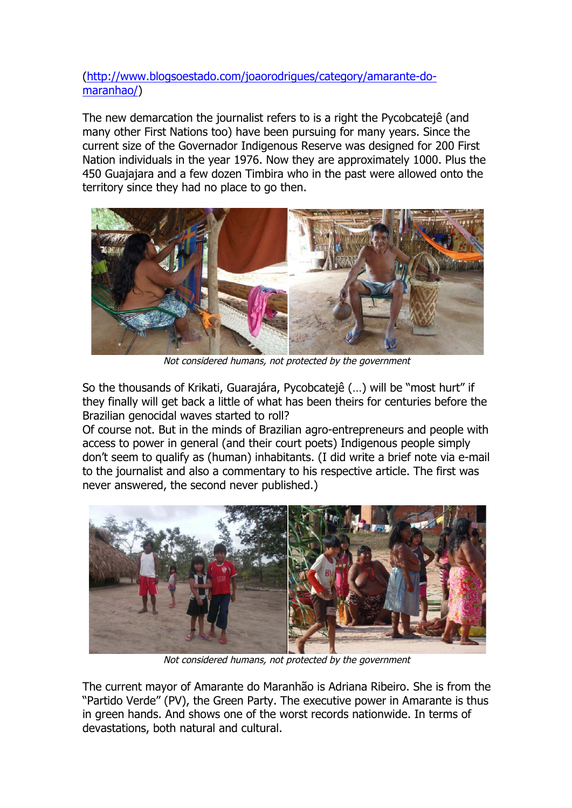(http://www.blogsoestado.com/joaorodrigues/category/amarante-domaranhao/)

The new demarcation the journalist refers to is a right the Pycobcatejê (and many other First Nations too) have been pursuing for many years. Since the current size of the Governador Indigenous Reserve was designed for 200 First Nation individuals in the year 1976. Now they are approximately 1000. Plus the 450 Guajajara and a few dozen Timbira who in the past were allowed onto the territory since they had no place to go then.



Not considered humans, not protected by the government

So the thousands of Krikati, Guarajára, Pycobcatejê (…) will be "most hurt" if they finally will get back a little of what has been theirs for centuries before the Brazilian genocidal waves started to roll?

Of course not. But in the minds of Brazilian agro-entrepreneurs and people with access to power in general (and their court poets) Indigenous people simply don't seem to qualify as (human) inhabitants. (I did write a brief note via e-mail to the journalist and also a commentary to his respective article. The first was never answered, the second never published.)



Not considered humans, not protected by the government

The current mayor of Amarante do Maranhão is Adriana Ribeiro. She is from the "Partido Verde" (PV), the Green Party. The executive power in Amarante is thus in green hands. And shows one of the worst records nationwide. In terms of devastations, both natural and cultural.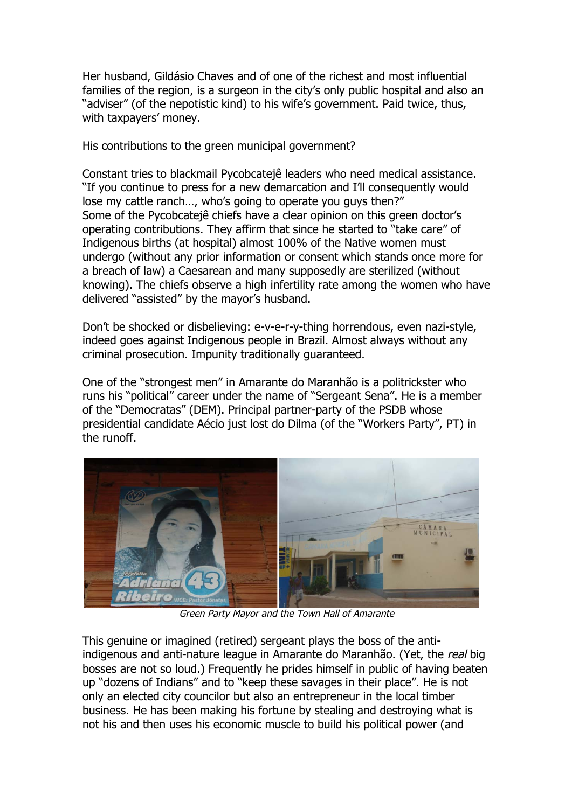Her husband, Gildásio Chaves and of one of the richest and most influential families of the region, is a surgeon in the city's only public hospital and also an "adviser" (of the nepotistic kind) to his wife's government. Paid twice, thus, with taxpayers' money.

His contributions to the green municipal government?

Constant tries to blackmail Pycobcatejê leaders who need medical assistance. "If you continue to press for a new demarcation and I'll consequently would lose my cattle ranch…, who's going to operate you guys then?" Some of the Pycobcatejê chiefs have a clear opinion on this green doctor's operating contributions. They affirm that since he started to "take care" of Indigenous births (at hospital) almost 100% of the Native women must undergo (without any prior information or consent which stands once more for a breach of law) a Caesarean and many supposedly are sterilized (without knowing). The chiefs observe a high infertility rate among the women who have delivered "assisted" by the mayor's husband.

Don't be shocked or disbelieving: e-v-e-r-y-thing horrendous, even nazi-style, indeed goes against Indigenous people in Brazil. Almost always without any criminal prosecution. Impunity traditionally guaranteed.

One of the "strongest men" in Amarante do Maranhão is a politrickster who runs his "political" career under the name of "Sergeant Sena". He is a member of the "Democratas" (DEM). Principal partner-party of the PSDB whose presidential candidate Aécio just lost do Dilma (of the "Workers Party", PT) in the runoff.



Green Party Mayor and the Town Hall of Amarante

This genuine or imagined (retired) sergeant plays the boss of the antiindigenous and anti-nature league in Amarante do Maranhão. (Yet, the real big bosses are not so loud.) Frequently he prides himself in public of having beaten up "dozens of Indians" and to "keep these savages in their place". He is not only an elected city councilor but also an entrepreneur in the local timber business. He has been making his fortune by stealing and destroying what is not his and then uses his economic muscle to build his political power (and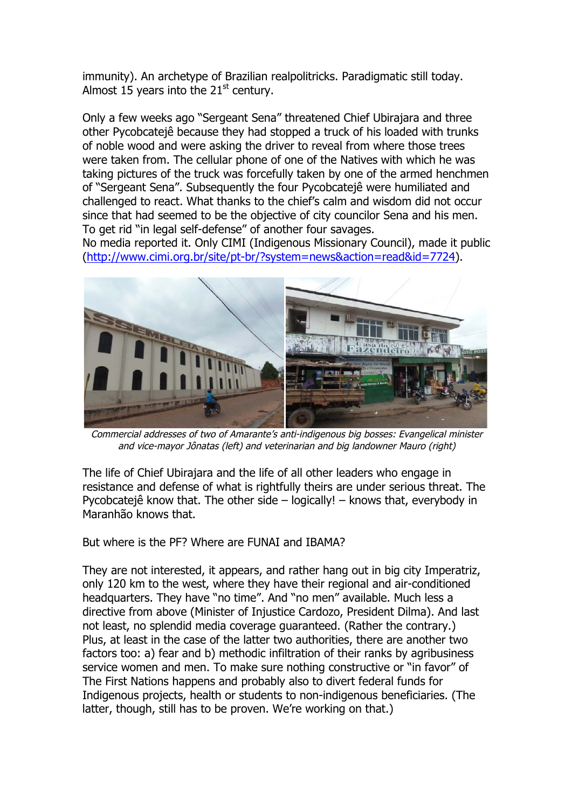immunity). An archetype of Brazilian realpolitricks. Paradigmatic still today. Almost 15 years into the  $21<sup>st</sup>$  century.

Only a few weeks ago "Sergeant Sena" threatened Chief Ubirajara and three other Pycobcatejê because they had stopped a truck of his loaded with trunks of noble wood and were asking the driver to reveal from where those trees were taken from. The cellular phone of one of the Natives with which he was taking pictures of the truck was forcefully taken by one of the armed henchmen of "Sergeant Sena". Subsequently the four Pycobcatejê were humiliated and challenged to react. What thanks to the chief's calm and wisdom did not occur since that had seemed to be the objective of city councilor Sena and his men. To get rid "in legal self-defense" of another four savages.

No media reported it. Only CIMI (Indigenous Missionary Council), made it public (http://www.cimi.org.br/site/pt-br/?system=news&action=read&id=7724).



Commercial addresses of two of Amarante's anti-indigenous big bosses: Evangelical minister and vice-mayor Jônatas (left) and veterinarian and big landowner Mauro (right)

The life of Chief Ubirajara and the life of all other leaders who engage in resistance and defense of what is rightfully theirs are under serious threat. The Pycobcatejê know that. The other side – logically! – knows that, everybody in Maranhão knows that.

But where is the PF? Where are FUNAI and IBAMA?

They are not interested, it appears, and rather hang out in big city Imperatriz, only 120 km to the west, where they have their regional and air-conditioned headquarters. They have "no time". And "no men" available. Much less a directive from above (Minister of Injustice Cardozo, President Dilma). And last not least, no splendid media coverage guaranteed. (Rather the contrary.) Plus, at least in the case of the latter two authorities, there are another two factors too: a) fear and b) methodic infiltration of their ranks by agribusiness service women and men. To make sure nothing constructive or "in favor" of The First Nations happens and probably also to divert federal funds for Indigenous projects, health or students to non-indigenous beneficiaries. (The latter, though, still has to be proven. We're working on that.)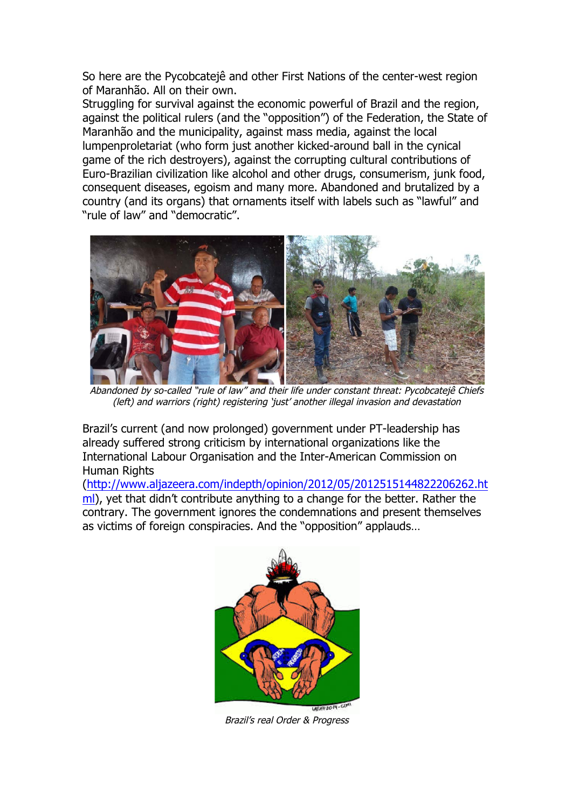So here are the Pycobcatejê and other First Nations of the center-west region of Maranhão. All on their own.

Struggling for survival against the economic powerful of Brazil and the region, against the political rulers (and the "opposition") of the Federation, the State of Maranhão and the municipality, against mass media, against the local lumpenproletariat (who form just another kicked-around ball in the cynical game of the rich destroyers), against the corrupting cultural contributions of Euro-Brazilian civilization like alcohol and other drugs, consumerism, junk food, consequent diseases, egoism and many more. Abandoned and brutalized by a country (and its organs) that ornaments itself with labels such as "lawful" and "rule of law" and "democratic".



Abandoned by so-called "rule of law" and their life under constant threat: Pycobcatejê Chiefs (left) and warriors (right) registering 'just' another illegal invasion and devastation

Brazil's current (and now prolonged) government under PT-leadership has already suffered strong criticism by international organizations like the International Labour Organisation and the Inter-American Commission on Human Rights

(http://www.aljazeera.com/indepth/opinion/2012/05/2012515144822206262.ht ml), yet that didn't contribute anything to a change for the better. Rather the contrary. The government ignores the condemnations and present themselves as victims of foreign conspiracies. And the "opposition" applauds…



Brazil's real Order & Progress